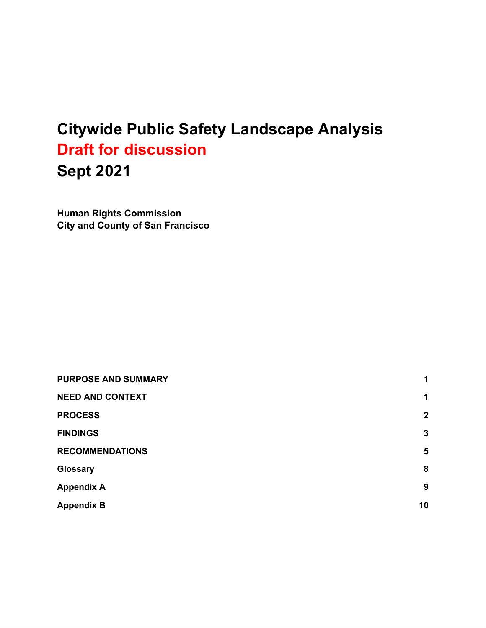# **Citywide Public Safety Landscape Analysis Draft for discussion Sept 2021**

**Human Rights Commission City and County of San Francisco**

| <b>PURPOSE AND SUMMARY</b> | 1              |
|----------------------------|----------------|
| <b>NEED AND CONTEXT</b>    | 1              |
| <b>PROCESS</b>             | $\mathbf{2}$   |
| <b>FINDINGS</b>            | $\mathbf{3}$   |
| <b>RECOMMENDATIONS</b>     | $5\phantom{1}$ |
| <b>Glossary</b>            | 8              |
| <b>Appendix A</b>          | 9              |
| <b>Appendix B</b>          | 10             |
|                            |                |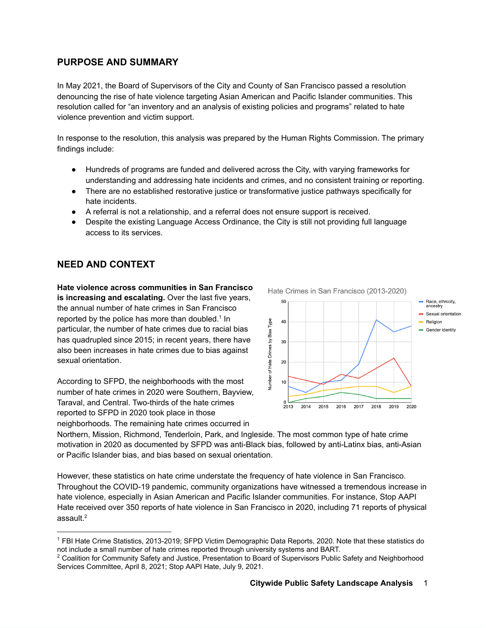## <span id="page-1-0"></span>**PURPOSE AND SUMMARY**

In May 2021, the Board of Supervisors of the City and County of San Francisco passed a resolution denouncing the rise of hate violence targeting Asian American and Pacific Islander communities. This resolution called for "an inventory and an analysis of existing policies and programs" related to hate violence prevention and victim support.

In response to the resolution, this analysis was prepared by the Human Rights Commission. The primary findings include:

- Hundreds of programs are funded and delivered across the City, with varying frameworks for understanding and addressing hate incidents and crimes, and no consistent training or reporting.
- There are no established restorative justice or transformative justice pathways specifically for hate incidents.
- A referral is not a relationship, and a referral does not ensure support is received.
- Despite the existing Language Access Ordinance, the City is still not providing full language access to its services.

## <span id="page-1-1"></span>**NEED AND CONTEXT**

**Hate violence across communities in San Francisco is increasing and escalating.** Over the last five years, the annual number of hate crimes in San Francisco reported by the police has more than doubled.<sup>1</sup> In particular, the number of hate crimes due to racial bias has quadrupled since 2015; in recent years, there have also been increases in hate crimes due to bias against sexual orientation.

According to SFPD, the neighborhoods with the most number of hate crimes in 2020 were Southern, Bayview, Taraval, and Central. Two-thirds of the hate crimes reported to SFPD in 2020 took place in those neighborhoods. The remaining hate crimes occurred in



Northern, Mission, Richmond, Tenderloin, Park, and Ingleside. The most common type of hate crime motivation in 2020 as documented by SFPD was anti-Black bias, followed by anti-Latinx bias, anti-Asian or Pacific Islander bias, and bias based on sexual orientation.

However, these statistics on hate crime understate the frequency of hate violence in San Francisco. Throughout the COVID-19 pandemic, community organizations have witnessed a tremendous increase in hate violence, especially in Asian American and Pacific Islander communities. For instance, Stop AAPI Hate received over 350 reports of hate violence in San Francisco in 2020, including 71 reports of physical assault. 2

<sup>1</sup> FBI Hate Crime Statistics, 2013-2019; SFPD Victim Demographic Data Reports, 2020. Note that these statistics do not include a small number of hate crimes reported through university systems and BART.

<sup>&</sup>lt;sup>2</sup> Coalition for Community Safety and Justice, Presentation to Board of Supervisors Public Safety and Neighborhood Services Committee, April 8, 2021; Stop AAPI Hate, July 9, 2021.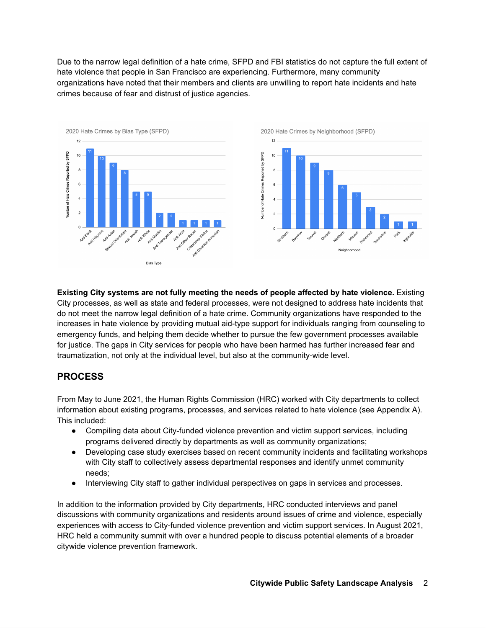Due to the narrow legal definition of a hate crime, SFPD and FBI statistics do not capture the full extent of hate violence that people in San Francisco are experiencing. Furthermore, many community organizations have noted that their members and clients are unwilling to report hate incidents and hate crimes because of fear and distrust of justice agencies.



**Existing City systems are not fully meeting the needs of people affected by hate violence.** Existing City processes, as well as state and federal processes, were not designed to address hate incidents that do not meet the narrow legal definition of a hate crime. Community organizations have responded to the increases in hate violence by providing mutual aid-type support for individuals ranging from counseling to emergency funds, and helping them decide whether to pursue the few government processes available for justice. The gaps in City services for people who have been harmed has further increased fear and traumatization, not only at the individual level, but also at the community-wide level.

## <span id="page-2-0"></span>**PROCESS**

From May to June 2021, the Human Rights Commission (HRC) worked with City departments to collect information about existing programs, processes, and services related to hate violence (see Appendix A). This included:

- Compiling data about City-funded violence prevention and victim support services, including programs delivered directly by departments as well as community organizations;
- Developing case study exercises based on recent community incidents and facilitating workshops with City staff to collectively assess departmental responses and identify unmet community needs;
- Interviewing City staff to gather individual perspectives on gaps in services and processes.

In addition to the information provided by City departments, HRC conducted interviews and panel discussions with community organizations and residents around issues of crime and violence, especially experiences with access to City-funded violence prevention and victim support services. In August 2021, HRC held a community summit with over a hundred people to discuss potential elements of a broader citywide violence prevention framework.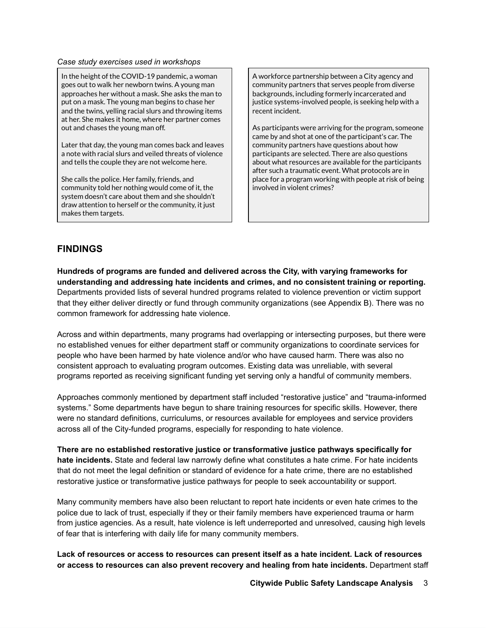#### *Case study exercises used in workshops*

In the height of the COVID-19 pandemic, a woman goes out to walk her newborn twins. A young man approaches her without a mask. She asks the man to put on a mask. The young man begins to chase her and the twins, yelling racial slurs and throwing items at her. She makes it home, where her partner comes out and chases the young man off.

Later that day, the young man comes back and leaves a note with racial slurs and veiled threats of violence and tells the couple they are not welcome here.

She calls the police. Her family, friends, and community told her nothing would come of it, the system doesn't care about them and she shouldn't draw attention to herself or the community, it just makes them targets.

A workforce partnership between a City agency and community partners that serves people from diverse backgrounds, including formerly incarcerated and justice systems-involved people, is seeking help with a recent incident.

As participants were arriving for the program, someone came by and shot at one of the participant's car. The community partners have questions about how participants are selected. There are also questions about what resources are available for the participants after such a traumatic event. What protocols are in place for a program working with people at risk of being involved in violent crimes?

## <span id="page-3-0"></span>**FINDINGS**

**Hundreds of programs are funded and delivered across the City, with varying frameworks for understanding and addressing hate incidents and crimes, and no consistent training or reporting.** Departments provided lists of several hundred programs related to violence prevention or victim support that they either deliver directly or fund through community organizations (see Appendix B). There was no common framework for addressing hate violence.

Across and within departments, many programs had overlapping or intersecting purposes, but there were no established venues for either department staff or community organizations to coordinate services for people who have been harmed by hate violence and/or who have caused harm. There was also no consistent approach to evaluating program outcomes. Existing data was unreliable, with several programs reported as receiving significant funding yet serving only a handful of community members.

Approaches commonly mentioned by department staff included "restorative justice" and "trauma-informed systems." Some departments have begun to share training resources for specific skills. However, there were no standard definitions, curriculums, or resources available for employees and service providers across all of the City-funded programs, especially for responding to hate violence.

**There are no established restorative justice or transformative justice pathways specifically for hate incidents.** State and federal law narrowly define what constitutes a hate crime. For hate incidents that do not meet the legal definition or standard of evidence for a hate crime, there are no established restorative justice or transformative justice pathways for people to seek accountability or support.

Many community members have also been reluctant to report hate incidents or even hate crimes to the police due to lack of trust, especially if they or their family members have experienced trauma or harm from justice agencies. As a result, hate violence is left underreported and unresolved, causing high levels of fear that is interfering with daily life for many community members.

**Lack of resources or access to resources can present itself as a hate incident. Lack of resources or access to resources can also prevent recovery and healing from hate incidents.** Department staff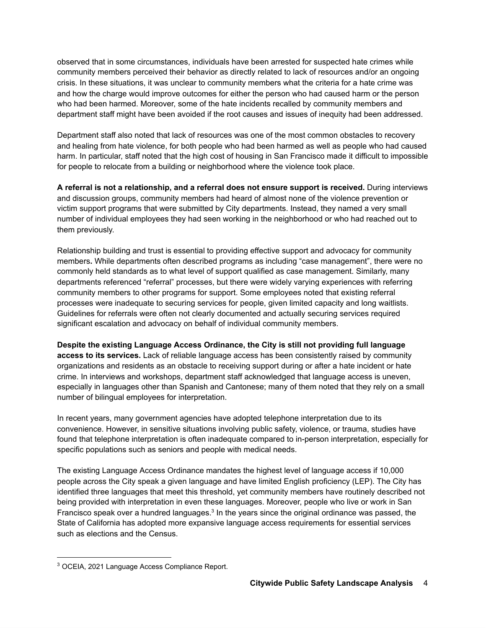observed that in some circumstances, individuals have been arrested for suspected hate crimes while community members perceived their behavior as directly related to lack of resources and/or an ongoing crisis. In these situations, it was unclear to community members what the criteria for a hate crime was and how the charge would improve outcomes for either the person who had caused harm or the person who had been harmed. Moreover, some of the hate incidents recalled by community members and department staff might have been avoided if the root causes and issues of inequity had been addressed.

Department staff also noted that lack of resources was one of the most common obstacles to recovery and healing from hate violence, for both people who had been harmed as well as people who had caused harm. In particular, staff noted that the high cost of housing in San Francisco made it difficult to impossible for people to relocate from a building or neighborhood where the violence took place.

**A referral is not a relationship, and a referral does not ensure support is received.** During interviews and discussion groups, community members had heard of almost none of the violence prevention or victim support programs that were submitted by City departments. Instead, they named a very small number of individual employees they had seen working in the neighborhood or who had reached out to them previously.

Relationship building and trust is essential to providing effective support and advocacy for community members**.** While departments often described programs as including "case management", there were no commonly held standards as to what level of support qualified as case management. Similarly, many departments referenced "referral" processes, but there were widely varying experiences with referring community members to other programs for support. Some employees noted that existing referral processes were inadequate to securing services for people, given limited capacity and long waitlists. Guidelines for referrals were often not clearly documented and actually securing services required significant escalation and advocacy on behalf of individual community members.

**Despite the existing Language Access Ordinance, the City is still not providing full language access to its services.** Lack of reliable language access has been consistently raised by community organizations and residents as an obstacle to receiving support during or after a hate incident or hate crime. In interviews and workshops, department staff acknowledged that language access is uneven, especially in languages other than Spanish and Cantonese; many of them noted that they rely on a small number of bilingual employees for interpretation.

In recent years, many government agencies have adopted telephone interpretation due to its convenience. However, in sensitive situations involving public safety, violence, or trauma, studies have found that telephone interpretation is often inadequate compared to in-person interpretation, especially for specific populations such as seniors and people with medical needs.

The existing Language Access Ordinance mandates the highest level of language access if 10,000 people across the City speak a given language and have limited English proficiency (LEP). The City has identified three languages that meet this threshold, yet community members have routinely described not being provided with interpretation in even these languages. Moreover, people who live or work in San Francisco speak over a hundred languages.<sup>3</sup> In the years since the original ordinance was passed, the State of California has adopted more expansive language access requirements for essential services such as elections and the Census.

<sup>3</sup> OCEIA, 2021 Language Access Compliance Report.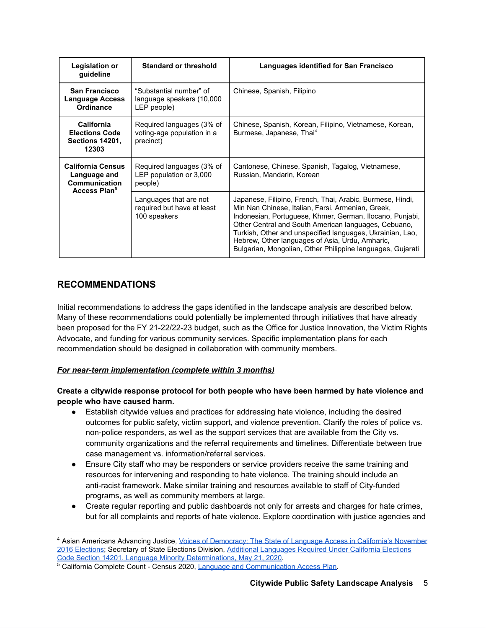| Legislation or<br>guideline                                                           | <b>Standard or threshold</b>                                         | Languages identified for San Francisco                                                                                                                                                                                                                                                                                                                                                                           |
|---------------------------------------------------------------------------------------|----------------------------------------------------------------------|------------------------------------------------------------------------------------------------------------------------------------------------------------------------------------------------------------------------------------------------------------------------------------------------------------------------------------------------------------------------------------------------------------------|
| <b>San Francisco</b><br><b>Language Access</b><br>Ordinance                           | "Substantial number" of<br>language speakers (10,000<br>LEP people)  | Chinese, Spanish, Filipino                                                                                                                                                                                                                                                                                                                                                                                       |
| <b>California</b><br><b>Elections Code</b><br><b>Sections 14201,</b><br>12303         | Required languages (3% of<br>voting-age population in a<br>precinct) | Chinese, Spanish, Korean, Filipino, Vietnamese, Korean,<br>Burmese, Japanese, Thai <sup>4</sup>                                                                                                                                                                                                                                                                                                                  |
| <b>California Census</b><br>Language and<br>Communication<br>Access Plan <sup>5</sup> | Required languages (3% of<br>LEP population or 3,000<br>people)      | Cantonese, Chinese, Spanish, Tagalog, Vietnamese,<br>Russian, Mandarin, Korean                                                                                                                                                                                                                                                                                                                                   |
|                                                                                       | Languages that are not<br>required but have at least<br>100 speakers | Japanese, Filipino, French, Thai, Arabic, Burmese, Hindi,<br>Min Nan Chinese, Italian, Farsi, Armenian, Greek,<br>Indonesian, Portuguese, Khmer, German, Ilocano, Punjabi,<br>Other Central and South American languages, Cebuano,<br>Turkish, Other and unspecified languages, Ukrainian, Lao,<br>Hebrew, Other languages of Asia, Urdu, Amharic,<br>Bulgarian, Mongolian, Other Philippine languages, Gujarati |

# <span id="page-5-0"></span>**RECOMMENDATIONS**

Initial recommendations to address the gaps identified in the landscape analysis are described below. Many of these recommendations could potentially be implemented through initiatives that have already been proposed for the FY 21-22/22-23 budget, such as the Office for Justice Innovation, the Victim Rights Advocate, and funding for various community services. Specific implementation plans for each recommendation should be designed in collaboration with community members.

## *For near-term implementation (complete within 3 months)*

**Create a citywide response protocol for both people who have been harmed by hate violence and people who have caused harm.**

- Establish citywide values and practices for addressing hate violence, including the desired outcomes for public safety, victim support, and violence prevention. Clarify the roles of police vs. non-police responders, as well as the support services that are available from the City vs. community organizations and the referral requirements and timelines. Differentiate between true case management vs. information/referral services.
- Ensure City staff who may be responders or service providers receive the same training and resources for intervening and responding to hate violence. The training should include an anti-racist framework. Make similar training and resources available to staff of City-funded programs, as well as community members at large.
- Create regular reporting and public dashboards not only for arrests and charges for hate crimes, but for all complaints and reports of hate violence. Explore coordination with justice agencies and

<sup>4</sup> Asian Americans Advancing Justice, Voices of [Democracy:](https://www.advancingjustice-alc.org/wp-content/uploads/2017/05/05042017_AJ_State_of_Language_Report_DIGITAL_FINAL.pdf) The State of Language Access in California's November 2016 [Elections](https://www.advancingjustice-alc.org/wp-content/uploads/2017/05/05042017_AJ_State_of_Language_Report_DIGITAL_FINAL.pdf); Secretary of State Elections Division, Additional [Languages](https://elections.cdn.sos.ca.gov/ccrov/pdf/2020/may/20096la.pdf) Required Under California Elections Code Section 14201, Language Minority [Determinations,](https://elections.cdn.sos.ca.gov/ccrov/pdf/2020/may/20096la.pdf) May 21, 2020.

<sup>&</sup>lt;sup>5</sup> California Complete Count - Census 2020, Language and [Communication](https://census.ca.gov/wp-content/uploads/sites/4/2019/06/LACAP.pdf) Access Plan.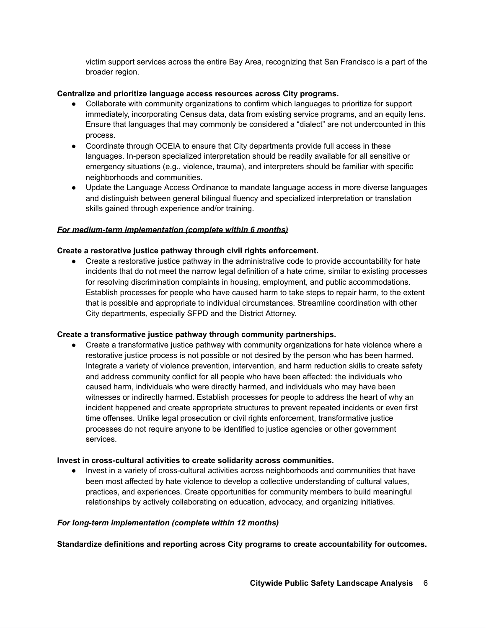victim support services across the entire Bay Area, recognizing that San Francisco is a part of the broader region.

#### **Centralize and prioritize language access resources across City programs.**

- Collaborate with community organizations to confirm which languages to prioritize for support immediately, incorporating Census data, data from existing service programs, and an equity lens. Ensure that languages that may commonly be considered a "dialect" are not undercounted in this process.
- Coordinate through OCEIA to ensure that City departments provide full access in these languages. In-person specialized interpretation should be readily available for all sensitive or emergency situations (e.g., violence, trauma), and interpreters should be familiar with specific neighborhoods and communities.
- Update the Language Access Ordinance to mandate language access in more diverse languages and distinguish between general bilingual fluency and specialized interpretation or translation skills gained through experience and/or training.

#### *For medium-term implementation (complete within 6 months)*

#### **Create a restorative justice pathway through civil rights enforcement.**

*●* Create a restorative justice pathway in the administrative code to provide accountability for hate incidents that do not meet the narrow legal definition of a hate crime, similar to existing processes for resolving discrimination complaints in housing, employment, and public accommodations. Establish processes for people who have caused harm to take steps to repair harm, to the extent that is possible and appropriate to individual circumstances. Streamline coordination with other City departments, especially SFPD and the District Attorney.

#### **Create a transformative justice pathway through community partnerships.**

• Create a transformative justice pathway with community organizations for hate violence where a restorative justice process is not possible or not desired by the person who has been harmed. Integrate a variety of violence prevention, intervention, and harm reduction skills to create safety and address community conflict for all people who have been affected: the individuals who caused harm, individuals who were directly harmed, and individuals who may have been witnesses or indirectly harmed. Establish processes for people to address the heart of why an incident happened and create appropriate structures to prevent repeated incidents or even first time offenses. Unlike legal prosecution or civil rights enforcement, transformative justice processes do not require anyone to be identified to justice agencies or other government services.

#### **Invest in cross-cultural activities to create solidarity across communities.**

● Invest in a variety of cross-cultural activities across neighborhoods and communities that have been most affected by hate violence to develop a collective understanding of cultural values, practices, and experiences. Create opportunities for community members to build meaningful relationships by actively collaborating on education, advocacy, and organizing initiatives.

#### *For long-term implementation (complete within 12 months)*

**Standardize definitions and reporting across City programs to create accountability for outcomes.**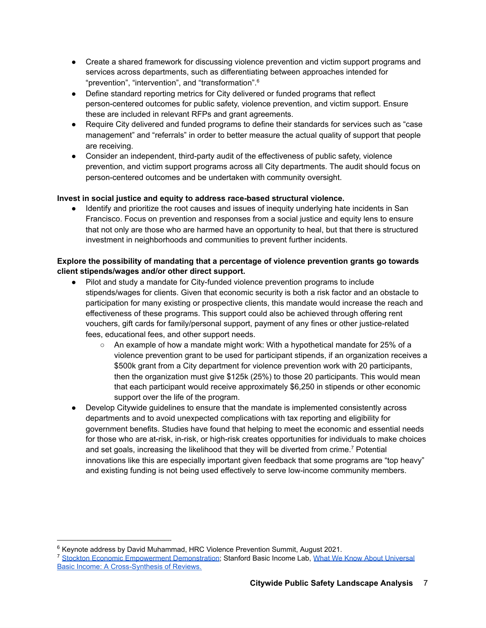- Create a shared framework for discussing violence prevention and victim support programs and services across departments, such as differentiating between approaches intended for "prevention", "intervention", and "transformation". 6
- Define standard reporting metrics for City delivered or funded programs that reflect person-centered outcomes for public safety, violence prevention, and victim support. Ensure these are included in relevant RFPs and grant agreements.
- Require City delivered and funded programs to define their standards for services such as "case management" and "referrals" in order to better measure the actual quality of support that people are receiving.
- Consider an independent, third-party audit of the effectiveness of public safety, violence prevention, and victim support programs across all City departments. The audit should focus on person-centered outcomes and be undertaken with community oversight.

## **Invest in social justice and equity to address race-based structural violence.**

*●* Identify and prioritize the root causes and issues of inequity underlying hate incidents in San Francisco. Focus on prevention and responses from a social justice and equity lens to ensure that not only are those who are harmed have an opportunity to heal, but that there is structured investment in neighborhoods and communities to prevent further incidents.

## **Explore the possibility of mandating that a percentage of violence prevention grants go towards client stipends/wages and/or other direct support.**

- Pilot and study a mandate for City-funded violence prevention programs to include stipends/wages for clients. Given that economic security is both a risk factor and an obstacle to participation for many existing or prospective clients, this mandate would increase the reach and effectiveness of these programs. This support could also be achieved through offering rent vouchers, gift cards for family/personal support, payment of any fines or other justice-related fees, educational fees, and other support needs.
	- $\circ$  An example of how a mandate might work: With a hypothetical mandate for 25% of a violence prevention grant to be used for participant stipends, if an organization receives a \$500k grant from a City department for violence prevention work with 20 participants, then the organization must give \$125k (25%) to those 20 participants. This would mean that each participant would receive approximately \$6,250 in stipends or other economic support over the life of the program.
- Develop Citywide guidelines to ensure that the mandate is implemented consistently across departments and to avoid unexpected complications with tax reporting and eligibility for government benefits. Studies have found that helping to meet the economic and essential needs for those who are at-risk, in-risk, or high-risk creates opportunities for individuals to make choices and set goals, increasing the likelihood that they will be diverted from crime.<sup>7</sup> Potential innovations like this are especially important given feedback that some programs are "top heavy" and existing funding is not being used effectively to serve low-income community members.

<sup>&</sup>lt;sup>6</sup> Keynote address by David Muhammad, HRC Violence Prevention Summit, August 2021.

<sup>&</sup>lt;sup>7</sup> Stockton Economic Empowerment [Demonstration;](https://static1.squarespace.com/static/6039d612b17d055cac14070f/t/603ef1194c474b329f33c329/1614737690661/SEED_Preliminary+Analysis-SEEDs+First+Year_Final+Report_Individual+Pages+-2.pdf) Stanford Basic Income Lab, What We Know About [Universal](https://basicincome.stanford.edu/uploads/Umbrella%20Review%20BI_final.pdf) Basic Income: A [Cross-Synthesis](https://basicincome.stanford.edu/uploads/Umbrella%20Review%20BI_final.pdf) of Reviews.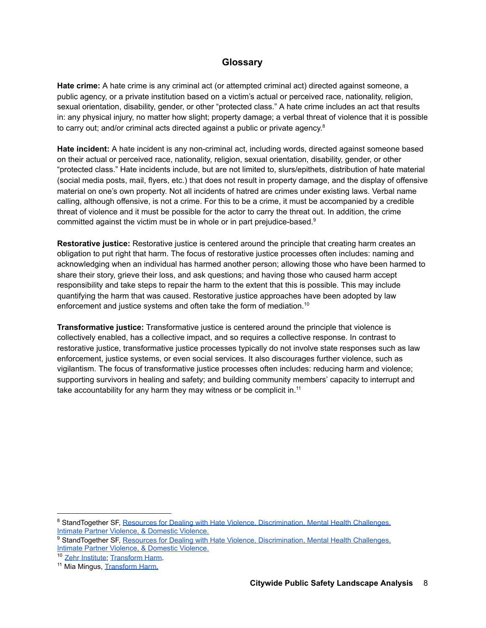## **Glossary**

<span id="page-8-0"></span>**Hate crime:** A hate crime is any criminal act (or attempted criminal act) directed against someone, a public agency, or a private institution based on a victim's actual or perceived race, nationality, religion, sexual orientation, disability, gender, or other "protected class." A hate crime includes an act that results in: any physical injury, no matter how slight; property damage; a verbal threat of violence that it is possible to carry out; and/or criminal acts directed against a public or private agency.<sup>8</sup>

**Hate incident:** A hate incident is any non-criminal act, including words, directed against someone based on their actual or perceived race, nationality, religion, sexual orientation, disability, gender, or other "protected class." Hate incidents include, but are not limited to, slurs/epithets, distribution of hate material (social media posts, mail, flyers, etc.) that does not result in property damage, and the display of offensive material on one's own property. Not all incidents of hatred are crimes under existing laws. Verbal name calling, although offensive, is not a crime. For this to be a crime, it must be accompanied by a credible threat of violence and it must be possible for the actor to carry the threat out. In addition, the crime committed against the victim must be in whole or in part prejudice-based. 9

**Restorative justice:** Restorative justice is centered around the principle that creating harm creates an obligation to put right that harm. The focus of restorative justice processes often includes: naming and acknowledging when an individual has harmed another person; allowing those who have been harmed to share their story, grieve their loss, and ask questions; and having those who caused harm accept responsibility and take steps to repair the harm to the extent that this is possible. This may include quantifying the harm that was caused. Restorative justice approaches have been adopted by law enforcement and justice systems and often take the form of mediation.<sup>10</sup>

**Transformative justice:** Transformative justice is centered around the principle that violence is collectively enabled, has a collective impact, and so requires a collective response. In contrast to restorative justice, transformative justice processes typically do not involve state responses such as law enforcement, justice systems, or even social services. It also discourages further violence, such as vigilantism. The focus of transformative justice processes often includes: reducing harm and violence; supporting survivors in healing and safety; and building community members' capacity to interrupt and take accountability for any harm they may witness or be complicit in.<sup>11</sup>

<sup>&</sup>lt;sup>8</sup> StandTogether SF, Resources for Dealing with Hate Violence, [Discrimination,](https://static1.squarespace.com/static/5f87c43df81ed4116675ee05/t/5f9b5c445ade2b74d8061f7e/1604017225158/Stand-Together-SF-Booklet-2020.pdf) Mental Health Challenges, Intimate Partner Violence, & [Domestic](https://static1.squarespace.com/static/5f87c43df81ed4116675ee05/t/5f9b5c445ade2b74d8061f7e/1604017225158/Stand-Together-SF-Booklet-2020.pdf) Violence.

<sup>&</sup>lt;sup>9</sup> StandTogether SF, Resources for Dealing with Hate Violence, [Discrimination,](https://static1.squarespace.com/static/5f87c43df81ed4116675ee05/t/5f9b5c445ade2b74d8061f7e/1604017225158/Stand-Together-SF-Booklet-2020.pdf) Mental Health Challenges, Intimate Partner Violence, & [Domestic](https://static1.squarespace.com/static/5f87c43df81ed4116675ee05/t/5f9b5c445ade2b74d8061f7e/1604017225158/Stand-Together-SF-Booklet-2020.pdf) Violence.

<sup>10</sup> Zehr [Institute;](https://zehr-institute.org/what-is-rj/) [Transform](https://transformharm.org/restorative-justice) Harm.

<sup>&</sup>lt;sup>11</sup> Mia Mingus, **[Transform](https://transformharm.org/transformative-justice-a-brief-description/) Harm.**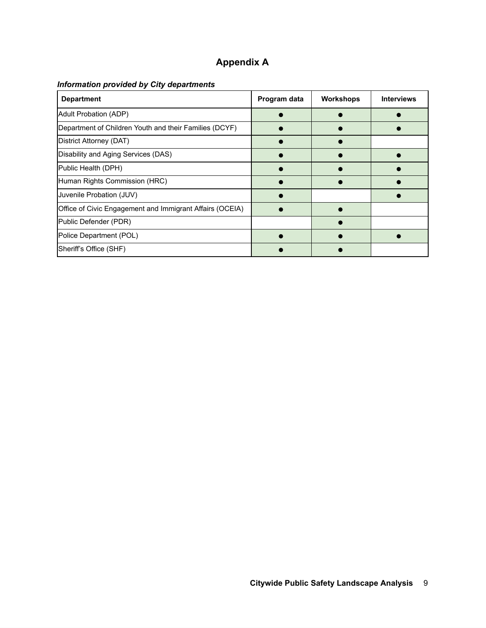# **Appendix A**

# <span id="page-9-0"></span>*Information provided by City departments*

| <b>Department</b>                                        | Program data | <b>Workshops</b> | <b>Interviews</b> |
|----------------------------------------------------------|--------------|------------------|-------------------|
| <b>Adult Probation (ADP)</b>                             |              |                  |                   |
| Department of Children Youth and their Families (DCYF)   |              |                  |                   |
| District Attorney (DAT)                                  |              |                  |                   |
| Disability and Aging Services (DAS)                      |              |                  |                   |
| Public Health (DPH)                                      |              |                  |                   |
| Human Rights Commission (HRC)                            |              |                  |                   |
| Juvenile Probation (JUV)                                 |              |                  |                   |
| Office of Civic Engagement and Immigrant Affairs (OCEIA) |              |                  |                   |
| Public Defender (PDR)                                    |              |                  |                   |
| Police Department (POL)                                  |              |                  |                   |
| Sheriff's Office (SHF)                                   |              |                  |                   |